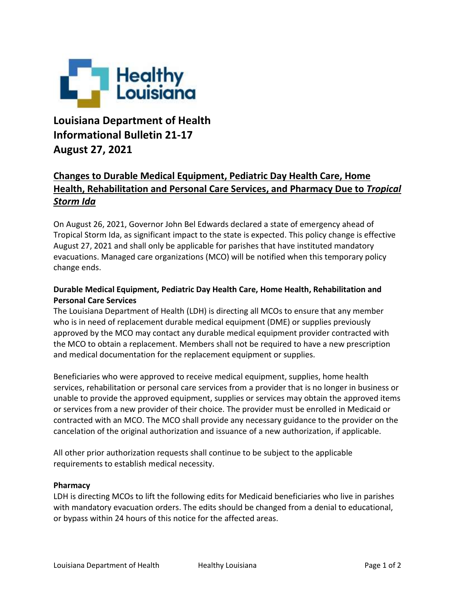

## **Louisiana Department of Health Informational Bulletin 21-17 August 27, 2021**

## **Changes to Durable Medical Equipment, Pediatric Day Health Care, Home Health, Rehabilitation and Personal Care Services, and Pharmacy Due to** *Tropical Storm Ida*

On August 26, 2021, Governor John Bel Edwards declared a state of emergency ahead of Tropical Storm Ida, as significant impact to the state is expected. This policy change is effective August 27, 2021 and shall only be applicable for parishes that have instituted mandatory evacuations. Managed care organizations (MCO) will be notified when this temporary policy change ends.

## **Durable Medical Equipment, Pediatric Day Health Care, Home Health, Rehabilitation and Personal Care Services**

The Louisiana Department of Health (LDH) is directing all MCOs to ensure that any member who is in need of replacement durable medical equipment (DME) or supplies previously approved by the MCO may contact any durable medical equipment provider contracted with the MCO to obtain a replacement. Members shall not be required to have a new prescription and medical documentation for the replacement equipment or supplies.

Beneficiaries who were approved to receive medical equipment, supplies, home health services, rehabilitation or personal care services from a provider that is no longer in business or unable to provide the approved equipment, supplies or services may obtain the approved items or services from a new provider of their choice. The provider must be enrolled in Medicaid or contracted with an MCO. The MCO shall provide any necessary guidance to the provider on the cancelation of the original authorization and issuance of a new authorization, if applicable.

All other prior authorization requests shall continue to be subject to the applicable requirements to establish medical necessity.

## **Pharmacy**

LDH is directing MCOs to lift the following edits for Medicaid beneficiaries who live in parishes with mandatory evacuation orders. The edits should be changed from a denial to educational, or bypass within 24 hours of this notice for the affected areas.